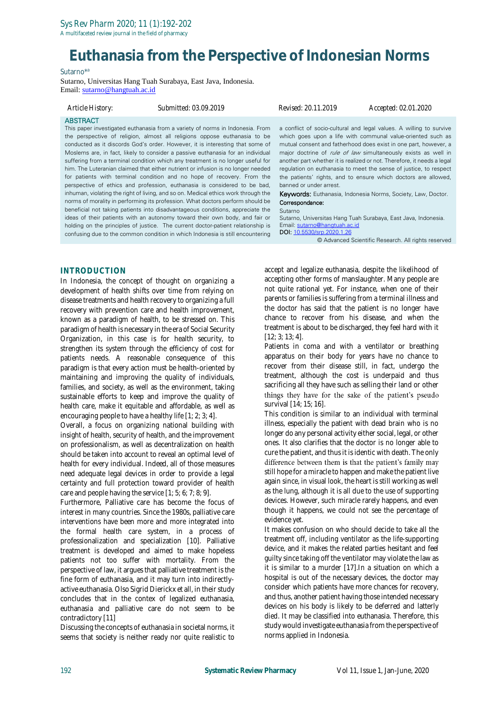A multifaceted review journal in the field of pharmacy

# **Euthanasia from the Perspective of Indonesian Norms**

#### Sutarno\*<sup>a</sup>

Sutarno, Universitas Hang Tuah Surabaya, East Java, Indonesia. Email: [sutarno@hangtuah.ac.id](mailto:sutarno@hangtuah.ac.id)

confusing due to the common condition in which Indonesia is still encountering

| Article History:                                                                 | Submitted: 03.09.2019                                                                                                                                                                                                                                                                                                                                                                                                                                                                                                                                                                                                                                                                                                                                                                                                                                                                                                                                                                                 | Revised: 20.11.2019                                   | Accepted: 02.01.2020                                                                                                                                                                                                                                                                                                                                                                                                                                                                                                                                                                                                                       |
|----------------------------------------------------------------------------------|-------------------------------------------------------------------------------------------------------------------------------------------------------------------------------------------------------------------------------------------------------------------------------------------------------------------------------------------------------------------------------------------------------------------------------------------------------------------------------------------------------------------------------------------------------------------------------------------------------------------------------------------------------------------------------------------------------------------------------------------------------------------------------------------------------------------------------------------------------------------------------------------------------------------------------------------------------------------------------------------------------|-------------------------------------------------------|--------------------------------------------------------------------------------------------------------------------------------------------------------------------------------------------------------------------------------------------------------------------------------------------------------------------------------------------------------------------------------------------------------------------------------------------------------------------------------------------------------------------------------------------------------------------------------------------------------------------------------------------|
| <b>ABSTRACT</b>                                                                  | This paper investigated euthanasia from a variety of norms in Indonesia. From<br>the perspective of religion, almost all religions oppose euthanasia to be<br>conducted as it discords God's order. However, it is interesting that some of<br>Moslems are, in fact, likely to consider a passive euthanasia for an individual<br>suffering from a terminal condition which any treatment is no longer useful for<br>him. The Luteranian claimed that either nutrient or infusion is no longer needed<br>for patients with terminal condition and no hope of recovery. From the<br>perspective of ethics and profession, euthanasia is considered to be bad,<br>inhuman, violating the right of living, and so on. Medical ethics work through the<br>norms of morality in performing its profession. What doctors perform should be<br>beneficial not taking patients into disadvantageous conditions, appreciate the<br>ideas of their patients with an autonomy toward their own body, and fair or | banned or under arrest.<br>Correspondance:<br>Sutarno | a conflict of socio-cultural and legal values. A willing to survive<br>which goes upon a life with communal value-oriented such as<br>mutual consent and fatherhood does exist in one part, however, a<br>major doctrine of <i>rule of law</i> simultaneously exists as well in<br>another part whether it is realized or not. Therefore, it needs a legal<br>regulation on euthanasia to meet the sense of justice, to respect<br>the patients' rights, and to ensure which doctors are allowed,<br><b>Keywords:</b> Euthanasia, Indonesia Norms, Society, Law, Doctor.<br>Sutarno, Universitas Hang Tuah Surabaya, East Java, Indonesia. |
| holding on the principles of justice. The current doctor-patient relationship is |                                                                                                                                                                                                                                                                                                                                                                                                                                                                                                                                                                                                                                                                                                                                                                                                                                                                                                                                                                                                       | Email: sutarno@hangtuah.ac.id                         |                                                                                                                                                                                                                                                                                                                                                                                                                                                                                                                                                                                                                                            |

DOI[: 10.5530/srp.2020.1.26](http://dx.doi.org/10.5530/srp.2019.2.04)

© Advanced Scientific Research. All rights reserved

#### **INTRODUCTION**

In Indonesia, the concept of thought on organizing a development of health shifts over time from relying on disease treatments and health recovery to organizing a full recovery with prevention care and health improvement, known as a paradigm of health, to be stressed on. This paradigm of health is necessary in the era of Social Security Organization, in this case is for health security, to strengthen its system through the efficiency of cost for patients needs. A reasonable consequence of this paradigm is that every action must be health-oriented by maintaining and improving the quality of individuals, families, and society, as well as the environment, taking sustainable efforts to keep and improve the quality of health care, make it equitable and affordable, as well as encouraging people to have a healthy life [1; 2; 3; 4].

Overall, a focus on organizing national building with insight of health, security of health, and the improvement on professionalism, as well as decentralization on health should be taken into account to reveal an optimal level of health for every individual. Indeed, all of those measures need adequate legal devices in order to provide a legal certainty and full protection toward provider of health care and people having the service [1; 5; 6; 7; 8; 9].

Furthermore, Palliative care has become the focus of interest in many countries. Since the 1980s, palliative care interventions have been more and more integrated into the formal health care system, in a process of professionalization and specialization [10]. Palliative treatment is developed and aimed to make hopeless patients not too suffer with mortality. From the perspective of law, it argues that palliative treatment is the fine form of euthanasia, and it may turn into indirectlyactive euthanasia. Olso Sigrid Dierickx et all, in their study concludes that in the contex of legalized euthanasia, euthanasia and palliative care do not seem to be contradictory [11]

Discussing the concepts of euthanasia in societal norms, it seems that society is neither ready nor quite realistic to accept and legalize euthanasia, despite the likelihood of accepting other forms of manslaughter. Many people are not quite rational yet. For instance, when one of their parents or families is suffering from a terminal illness and the doctor has said that the patient is no longer have chance to recover from his disease, and when the treatment is about to be discharged, they feel hard with it [12; 3; 13; 4].

Patients in coma and with a ventilator or breathing apparatus on their body for years have no chance to recover from their disease still, in fact, undergo the treatment, although the cost is underpaid and thus sacrificing all they have such as selling their land or other things they have for the sake of the patient's pseudo survival [14; 15; 16].

This condition is similar to an individual with terminal illness, especially the patient with dead brain who is no longer do any personal activity either social, legal, or other ones. It also clarifies that the doctor is no longer able to cure the patient, and thus it is identic with death. The only difference between them is that the patient's family may still hope for a miracle to happen and make the patient live again since, in visual look, the heart is still working as well as the lung, although it is all due to the use of supporting devices. However, such miracle rarely happens, and even though it happens, we could not see the percentage of evidence yet.

It makes confusion on who should decide to take all the treatment off, including ventilator as the life-supporting device, and it makes the related parties hesitant and feel guilty since taking off the ventilator may violate the law as it is similar to a murder [17].In a situation on which a hospital is out of the necessary devices, the doctor may consider which patients have more chances for recovery, and thus, another patient having those intended necessary devices on his body is likely to be deferred and latterly died. It may be classified into euthanasia. Therefore, this study would investigate euthanasia from the perspective of norms applied in Indonesia.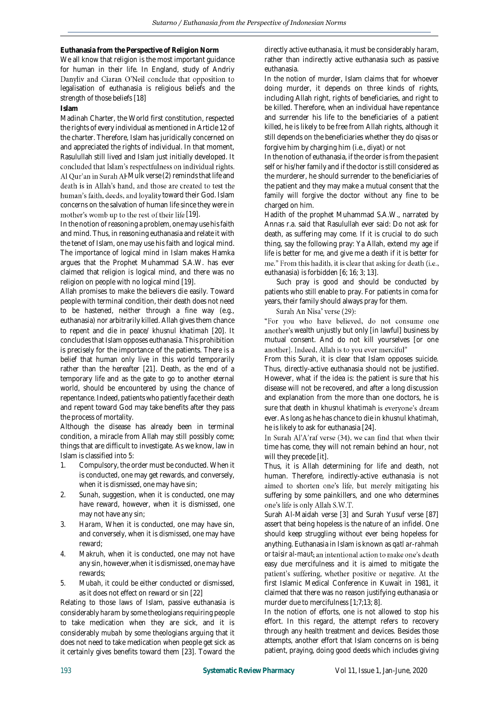**Euthanasia from the Perspective of Religion Norm**

We all know that religion is the most important guidance for human in their life. In England, study of Andriy Danyliv and Ciaran O'Neil conclude that opposition to legalisation of euthanasia is religious beliefs and the strength of those beliefs [18]

**Islam**

Madinah Charter, the World first constitution, respected the rights of every individual as mentioned in Article 12 of the charter. Therefore, Islam has juridically concerned on and appreciated the rights of individual. In that moment, Rasulullah still lived and Islam just initially developed. It concluded that Islam's respectfulness on individual rights. Al Qur'an in Surah Al-Mulk verse (2) reminds that life and death is in Allah's hand, and those are created to test the human's faith, deeds, and loyality toward their God. Islam concerns on the salvation of human life since they were in mother's womb up to the rest of their life [19].

In the notion of reasoning a problem, one may use his faith and mind. Thus, in reasoning euthanasia and relate it with the tenet of Islam, one may use his faith and logical mind. The importance of logical mind in Islam makes Hamka argues that the Prophet Muhammad S.A.W. has ever claimed that religion is logical mind, and there was no religion on people with no logical mind [19].

Allah promises to make the believers die easily. Toward people with terminal condition, their death does not need to be hastened, neither through a fine way (e.g., euthanasia) nor arbitrarily killed. Allah gives them chance to repent and die in peace/ *khusnul khatimah* [20]. It concludes that Islam opposes euthanasia. This prohibition is precisely for the importance of the patients. There is a belief that human only live in this world temporarily rather than the hereafter [21]. Death, as the end of a temporary life and as the gate to go to another eternal world, should be encountered by using the chance of repentance. Indeed, patients who patiently face their death and repent toward God may take benefits after they pass the process of mortality.

Although the disease has already been in terminal condition, a miracle from Allah may still possibly come; things that are difficult to investigate. As we know, law in Islam is classified into 5:

- 1. Compulsory, the order must be conducted. When it is conducted, one may get rewards, and conversely, when it is dismissed, one may have sin;
- 2. *Sunah*, suggestion, when it is conducted, one may have reward, however, when it is dismissed, one may not have any sin;
- 3. *Haram,* When it is conducted, one may have sin, and conversely, when it is dismissed, one may have reward;
- *4. Makruh,* when it is conducted, one may not have any sin, however,when it is dismissed, one may have rewards;
- *5. Mubah,* it could be either conducted or dismissed, as it does not effect on reward or sin [22]

Relating to those laws of Islam, passive euthanasia is considerably *haram* by some theologians requiring people to take medication when they are sick, and it is considerably *mubah* by some theologians arguing that it does not need to take medication when people get sick as it certainly gives benefits toward them [23]. Toward the directly active euthanasia, it must be considerably *haram*, rather than indirectly active euthanasia such as passive euthanasia.

In the notion of murder, Islam claims that for whoever doing murder, it depends on three kinds of rights, including Allah right, rights of beneficiaries, and right to be killed. Therefore, when an individual have repentance and surrender his life to the beneficiaries of a patient killed, he is likely to be free from Allah rights, although it still depends on the beneficiaries whether they do *qisas* or forgive him by charging him (i.e., *diyat*) or not

In the notion of euthanasia, if the order is from the pasient self or his/her family and if the doctor is still considered as the murderer, he should surrender to the beneficiaries of the patient and they may make a mutual consent that the family will forgive the doctor without any fine to be charged on him.

Hadith of the prophet Muhammad S.A.W., narrated by Annas r.a. said that Rasulullah ever said: Do not ask for death, as suffering may come. If it is crucial to do such thing, say the following pray: Ya Allah, extend my age if life is better for me, and give me a death if it is better for me." From this hadith, it is clear that asking for death (i.e., euthanasia) is forbidden [6; 16; 3; 13].

Such pray is good and should be conducted by patients who still enable to pray. For patients in coma for years, their family should always pray for them.

Surah An Nisa' verse (29):

"For you who have believed, do not consume one another's wealth unjustly but only [in lawful] business by mutual consent. And do not kill yourselves [or one another]. Indeed, Allah is to you ever merciful"

From this Surah, it is clear that Islam opposes suicide. Thus, directly-active euthanasia should not be justified. However, what if the idea is: the patient is sure that his disease will not be recovered, and after a long discussion and explanation from the more than one doctors, he is sure that death in *khusnul khatimah* ever. As long as he has chance to die in *khusnul khatimah*, he is likely to ask for euthanasia [24].

In Surah Al'A'raf verse (34), we can find that when their time has come, they will not remain behind an hour, not will they precede [it].

Thus, it is Allah determining for life and death, not human. Therefore, indirectly-active euthanasia is not aimed to shorten one's life, but merely mitigating his suffering by some painkillers, and one who determines one's life is only Allah S.W.T.

Surah Al-Maidah verse [3] and Surah Yusuf verse [87] assert that being hopeless is the nature of an infidel. One should keep struggling without ever being hopeless for anything. Euthanasia in Islam is known as *qatl ar-rahmah* or *taisir al-maut* easy due mercifulness and it is aimed to mitigate the patient's suffering, whether positive or negative. At the first Islamic Medical Conference in Kuwait in 1981, it claimed that there was no reason justifying euthanasia or murder due to mercifulness [1;7;13; 8].

In the notion of efforts, one is not allowed to stop his effort. In this regard, the attempt refers to recovery through any health treatment and devices. Besides those attempts, another effort that Islam concerns on is being patient, praying, doing good deeds which includes giving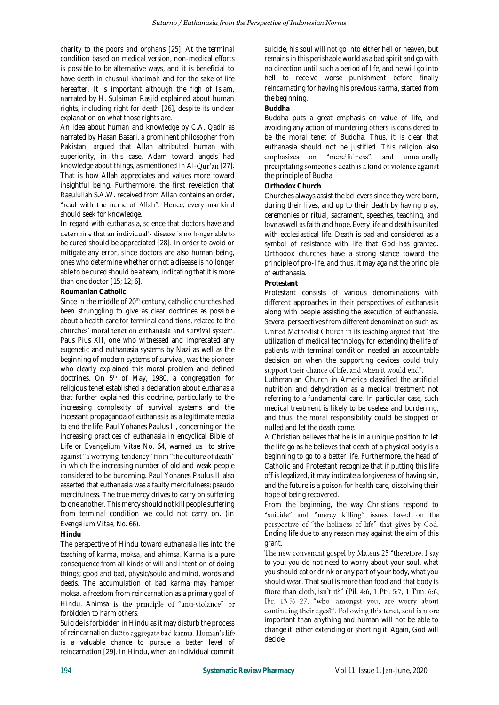charity to the poors and orphans [25]. At the terminal condition based on medical version, non-medical efforts is possible to be alternative ways, and it is beneficial to have death in *chusnul khatimah* and for the sake of life hereafter. It is important although the *fiqh* of Islam, narrated by H. Sulaiman Rasjid explained about human rights, including right for death [26], despite its unclear explanation on what those rights are.

An idea about human and knowledge by C.A. Qadir as narrated by Hasan Basari, a prominent philosopher from Pakistan, argued that Allah attributed human with superiority, in this case, Adam toward angels had knowledge about things, as mentioned in Al-Qur'an [27]. That is how Allah appreciates and values more toward insightful being. Furthermore, the first revelation that Rasulullah S.A.W. received from Allah contains an order, "read with the name of Allah". Hence, every mankind should seek for knowledge.

In regard with euthanasia, science that doctors have and determine that an individual's disease is no longer able to be cured should be appreciated [28]. In order to avoid or mitigate any error, since doctors are also human being, ones who determine whether or not a disease is no longer able to be cured should be a team, indicating that it is more than one doctor [15; 12; 6].

#### **Roumanian Catholic**

Since in the middle of 20<sup>th</sup> century, catholic churches had been strunggling to give as clear doctrines as possible about a health care for terminal conditions, related to the churches' moral tenet on euthanasia and survival system. Paus Pius XII, one who witnessed and imprecated any eugenetic and euthanasia systems by Nazi as well as the beginning of modern systems of survival, was the pioneer who clearly explained this moral problem and defined doctrines. On 5<sup>th</sup> of May, 1980, a congregation for religious tenet established a declaration about euthanasia that further explained this doctrine, particularly to the increasing complexity of survival systems and the incessant propaganda of euthanasia as a legitimate media to end the life. Paul Yohanes Paulus II, concerning on the increasing practices of euthanasia in encyclical Bible of Life or *Evangelium Vitae* No. 64, warned us to strive against "a worrying tendency" from "the culture of death" in which the increasing number of old and weak people considered to be burdening. Paul Yohanes Paulus II also asserted that euthanasia was a faulty mercifulness; pseudo mercifulness. The true mercy drives to carry on suffering to one another. This mercy should not kill people suffering from terminal condition we could not carry on. (in *Evengelium Vitae, No. 66*).

#### **Hindu**

The perspective of Hindu toward euthanasia lies into the teaching of *karma, moksa,* and *ahimsa*. *Karma* is a pure consequence from all kinds of will and intention of doing things; good and bad, physic/sould and mind, words and deeds. The accumulation of bad karma may hamper *moksa*, a freedom from reincarnation as a primary goal of Hindu. Ahimsa is the principle of "anti-violance" or forbidden to harm others.

Suicide is forbidden in Hindu as it may disturb the process of reincarnation due to aggregate bad karma. Human's life is a valuable chance to pursue a better level of reincarnation [29]. In Hindu, when an individual commit

suicide, his soul will not go into either hell or heaven, but remains in this perishable world as a bad spirit and go with no direction until such a period of life, and he will go into hell to receive worse punishment before finally reincarnating for having his previous *karma*, started from the beginning.

#### **Buddha**

Buddha puts a great emphasis on value of life, and avoiding any action of murdering others is considered to be the moral tenet of Buddha. Thus, it is clear that euthanasia should not be justified. This religion also emphasizes on "mercifulness", and unnaturally precipitating someone's death is a kind of violence against the principle of Budha.

#### **Orthodox Church**

Churches always assist the believers since they were born, during their lives, and up to their death by having pray, ceremonies or ritual, sacrament, speeches, teaching, and love as well as faith and hope. Every life and death is united with ecclesiastical life. Death is bad and considered as a symbol of resistance with life that God has granted. Orthodox churches have a strong stance toward the principle of pro-life, and thus, it may against the principle of euthanasia.

#### **Protestant**

Protestant consists of various denominations with different approaches in their perspectives of euthanasia along with people assisting the execution of euthanasia. Several perspectives from different denomination such as: United Methodist Church in its teaching argued that "the utilization of medical technology for extending the life of patients with terminal condition needed an accountable decision on when the supporting devices could truly support their chance of life, and when it would end".

Lutheranian Church in America classified the artificial nutrition and dehydration as a medical treatment not referring to a fundamental care. In particular case, such medical treatment is likely to be useless and burdening, and thus, the moral responsibility could be stopped or nulled and let the death come.

A Christian believes that he is in a unique position to let the life go as he believes that death of a physical body is a beginning to go to a better life. Furthermore, the head of Catholic and Protestant recognize that if putting this life off is legalized, it may indicate a forgiveness of having sin, and the future is a poison for health care, dissolving their hope of being recovered.

From the beginning, the way Christians respond to "suicide" and "mercy killing" issues based on the perspective of "the holiness of life" that gives by God. Ending life due to any reason may against the aim of this grant.

The new convenant gospel by Mateus 25 "therefore, I say to you: you do not need to worry about your soul, what you should eat or drink or any part of your body, what you should wear. That soul is more than food and that body is more than cloth, isn't it?" (Pil. 4:6, 1 Ptr. 5:7, 1 Tim. 6:6, Ibr. 13:5) 27, "who, amongst you, are worry about continuing their ages?". Following this tenet, soul is more important than anything and human will not be able to change it, either extending or shorting it. Again, God will decide.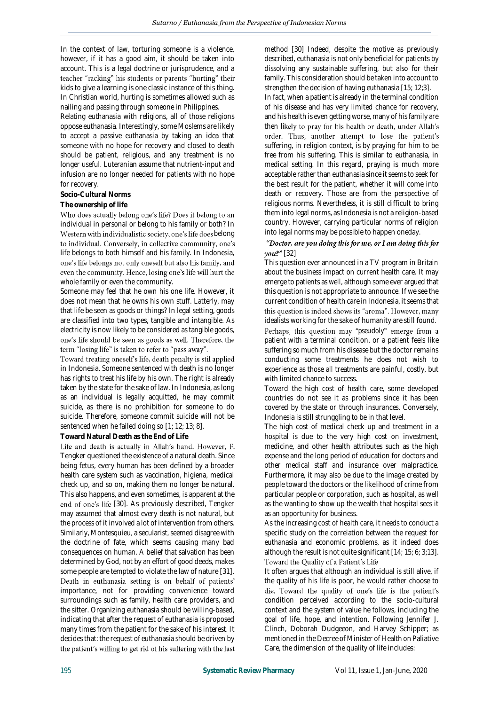In the context of law, torturing someone is a violence, however, if it has a good aim, it should be taken into account. This is a legal doctrine or jurisprudence, and a teacher "racking" his students or parents "hurting" their kids to give a learning is one classic instance of this thing. In Christian world, hurting is sometimes allowed such as nailing and passing through someone in Philippines.

Relating euthanasia with religions, all of those religions oppose euthanasia. Interestingly, some Moslems are likely to accept a passive euthanasia by taking an idea that someone with no hope for recovery and closed to death should be patient, religious, and any treatment is no longer useful. Luteranian assume that nutrient-input and infusion are no longer needed for patients with no hope for recovery.

#### **Socio-Cultural Norms**

#### **The ownership of life**

Who does actually belong one's life? Does it belong to an individual in personal or belong to his family or both? In Western with individualistic society, one's life does belong to individual. Conversely, in collective community, one's life belongs to both himself and his family. In Indonesia, one's life belongs not only oneself but also his family, and even the community. Hence, losing one's life will hurt the whole family or even the community.

Someone may feel that he own his one life. However, it does not mean that he owns his own stuff. Latterly, may that life be seen as goods or things? In legal setting, goods are classified into two types, tangible and intangible. As electricity is now likely to be considered as tangible goods, one's life should be seen as goods as well. Therefore, the term "losing life" is taken to refer to "pass away".

Toward treating oneself's life, death penalty is stil applied in Indonesia. Someone sentenced with death is no longer has rights to treat his life by his own. The right is already taken by the state for the sake of law. In Indonesia, as long as an individual is legally acquitted, he may commit suicide, as there is no prohibition for someone to do suicide. Therefore, someone commit suicide will not be sentenced when he failed doing so [1; 12; 13; 8].

#### **Toward Natural Death as the End of Life**

Life and death is actually in Allah's hand. However, F. Tengker questioned the existence of a natural death. Since being fetus, every human has been defined by a broader health care system such as vaccination, higiena, medical check up, and so on, making them no longer be natural. This also happens, and even sometimes, is apparent at the end of one's life [30]. As previously described, Tengker may assumed that almost every death is not natural, but the process of it involved a lot of intervention from others. Similarly, Montesquieu, a secularist, seemed disagree with the doctrine of fate, which seems causing many bad consequences on human. A belief that salvation has been determined by God, not by an effort of good deeds, makes some people are tempted to violate the law of nature [31].<br>Death in euthanasia setting is on behalf of patients' importance, not for providing convenience toward surroundings such as family, health care providers, and the sitter. Organizing euthanasia should be willing-based, indicating that after the request of euthanasia is proposed many times from the patient for the sake of his interest. It decides that: the request of euthanasia should be driven by the patient's willing to get rid of his suffering with the last method [30] Indeed, despite the motive as previously described, euthanasia is not only beneficial for patients by dissolving any sustainable suffering, but also for their family. This consideration should be taken into account to strengthen the decision of having euthanasia [15; 12;3].

In fact, when a patient is already in the terminal condition of his disease and has very limited chance for recovery, and his health is even getting worse, many of his family are then likely to pray for his health or death, under Allah's order. Thus, another attempt to lose the patient's suffering, in religion context, is by praying for him to be free from his suffering. This is similar to euthanasia, in medical setting. In this regard, praying is much more acceptable rather than euthanasia since it seems to seek for the best result for the patient, whether it will come into death or recovery. Those are from the perspective of religious norms. Nevertheless, it is still difficult to bring them into legal norms, as Indonesia is not a religion-based country. However, carrying particular norms of religion into legal norms may be possible to happen oneday.

#### "Doctor, are you doing this for me, or I am doing this for  $\gamma$ ou?" [32]

This question ever announced in a TV program in Britain about the business impact on current health care. It may emerge to patients as well, although some ever argued that this question is not appropriate to announce. If we see the current condition of health care in Indonesia, it seems that this question is indeed shows its "aroma". However, many idealists working for the sake of humanity are still found.

Perhaps, this question may "pseudoly" emerge from a patient with a terminal condition, or a patient feels like suffering so much from his disease but the doctor remains conducting some treatments he does not wish to experience as those all treatments are painful, costly, but with limited chance to success.

Toward the high cost of health care, some developed countries do not see it as problems since it has been covered by the state or through insurances. Conversely, Indonesia is still strunggling to be in that level.

The high cost of medical check up and treatment in a hospital is due to the very high cost on investment, medicine, and other health attributes such as the high expense and the long period of education for doctors and other medical staff and insurance over malpractice. Furthermore, it may also be due to the image created by people toward the doctors or the likelihood of crime from particular people or corporation, such as hospital, as well as the wanting to show up the wealth that hospital sees it as an opportunity for business.

As the increasing cost of health care, it needs to conduct a specific study on the correlation between the request for euthanasia and economic problems, as it indeed does although the result is not quite significant [14; 15; 6; 3;13]. Toward the Quality of a Patient's Life

It often argues that although an individual is still alive, if the quality of his life is poor, he would rather choose to die. Toward the quality of one's life is the patient's condition perceived according to the socio-cultural context and the system of value he follows, including the goal of life, hope, and intention. Following Jennifer J. Clinch, Doborah Dudgeeon, and Harvey Schipper; as mentioned in the Decree of Minister of Health on Paliative Care, the dimension of the quality of life includes: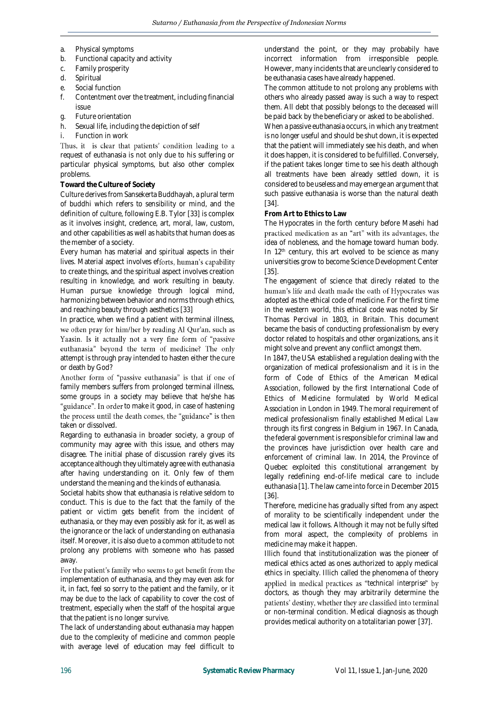- a. Physical symptoms<br>b. Functional capacity
- b. Functional capacity and activity
- c. Family prosperity
- d. Spiritual
- e. Social function
- f. Contentment over the treatment, including financial issue
- 
- g. Future orientation<br>h. Sexual life, includin Sexual life, including the depiction of self
- Function in work

Thus, it is clear that patients' condition leading to a request of euthanasia is not only due to his suffering or particular physical symptoms, but also other complex problems.

#### **Toward the Culture of Society**

Culture derives from Sansekerta Buddhayah, a plural term of buddhi which refers to sensibility or mind, and the definition of culture, following E.B. Tylor [33] is complex as it involves insight, credence, art, moral, law, custom, and other capabilities as well as habits that human does as the member of a society.

Every human has material and spiritual aspects in their lives. Material aspect involves efforts, human's capability to create things, and the spiritual aspect involves creation resulting in knowledge, and work resulting in beauty. Human pursue knowledge through logical mind, harmonizing between behavior and norms through ethics, and reaching beauty through aesthetics [33]

In practice, when we find a patient with terminal illness, we often pray for him/her by reading Al Qur'an, such as Yaasin. Is it actually not a very fine form of "passive euthanasia" beyond the term of medicine? The only attempt is through pray intended to hasten either the cure or death by God?

Another form of "passive euthanasia" is that if one of family members suffers from prolonged terminal illness, some groups in a society may believe that he/she has "guidance". In order to make it good, in case of hastening the process until the death comes, the "guidance" is then taken or dissolved.

Regarding to euthanasia in broader society, a group of community may agree with this issue, and others may disagree. The initial phase of discussion rarely gives its acceptance although they ultimately agree with euthanasia after having understanding on it. Only few of them understand the meaning and the kinds of euthanasia.

Societal habits show that euthanasia is relative seldom to conduct. This is due to the fact that the family of the patient or victim gets benefit from the incident of euthanasia, or they may even possibly ask for it, as well as the ignorance or the lack of understanding on euthanasia itself. Moreover, it is also due to a common attitude to not prolong any problems with someone who has passed away.

For the patient's family who seems to get benefit from the implementation of euthanasia, and they may even ask for it, in fact, feel so sorry to the patient and the family, or it may be due to the lack of capability to cover the cost of treatment, especially when the staff of the hospital argue that the patient is no longer survive.

The lack of understanding about euthanasia may happen due to the complexity of medicine and common people with average level of education may feel difficult to understand the point, or they may probabily have incorrect information from irresponsible people. However, many incidents that are unclearly considered to be euthanasia cases have already happened.

The common attitude to not prolong any problems with others who already passed away is such a way to respect them. All debt that possibly belongs to the deceased will be paid back by the beneficiary or asked to be abolished.

When a passive euthanasia occurs, in which any treatment is no longer useful and should be shut down, it is expected that the patient will immediately see his death, and when it does happen, it is considered to be fulfilled. Conversely, if the patient takes longer time to see his death although all treatments have been already settled down, it is considered to be useless and may emerge an argument that such passive euthanasia is worse than the natural death [34].

**From Art to Ethics to Law**

The Hypocrates in the forth century before Masehi had practiced medication as an "art" with its advantages, the idea of nobleness, and the homage toward human body. In 12<sup>th</sup> century, this art evolved to be science as many universities grow to become Science Development Center [35].

The engagement of science that direcly related to the human's life and death made the oath of Hypocrates was adopted as the ethical code of medicine. For the first time in the western world, this ethical code was noted by Sir Thomas Percival in 1803, in Britain. This document became the basis of conducting professionalism by every doctor related to hospitals and other organizations, ans it might solve and prevent any conflict amongst them.

In 1847, the USA established a regulation dealing with the organization of medical professionalism and it is in the form of *Code of Ethics of the American Medical Association,* followed by the first International Code of Ethics of Medicine formulated by *World Medical Association* in London in 1949. The moral requirement of medical professionalism finally established *Medical Law* through its first congress in Belgium in 1967. In Canada, the federal government is responsible for criminal law and the provinces have jurisdiction over health care and enforcement of criminal law. In 2014, the Province of Quebec exploited this constitutional arrangement by legally redefining end-of-life medical care to include euthanasia [1]. The law came into force in December 2015 [36].

Therefore, medicine has gradually sifted from any aspect of morality to be scientifically independent under the medical law it follows. Although it may not be fully sifted from moral aspect, the complexity of problems in medicine may make it happen.

Illich found that institutionalization was the pioneer of medical ethics acted as ones authorized to apply medical ethics in specialty. Illich called the phenomena of theory applied in medical practices as "technical interprise" by doctors, as though they may arbitrarily determine the patients' destiny, whether they are classified into terminal or non-terminal condition. Medical diagnosis as though provides medical authority on a totalitarian power [37].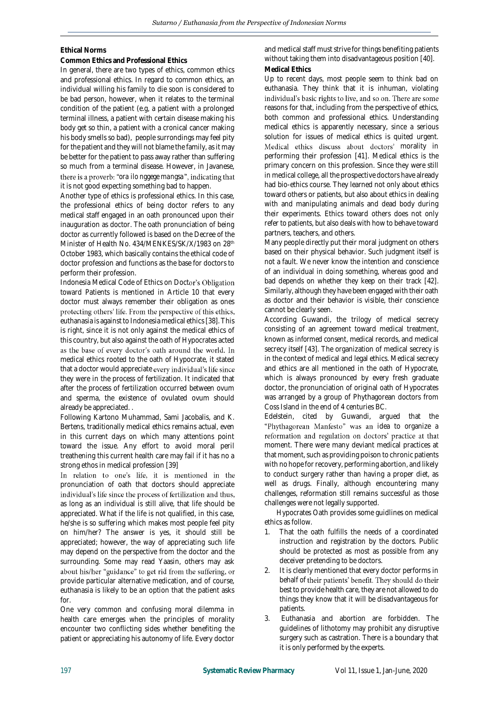# **Ethical Norms**

## **Common Ethics and Professional Ethics**

In general, there are two types of ethics, common ethics and professional ethics. In regard to common ethics, an individual willing his family to die soon is considered to be bad person, however, when it relates to the terminal condition of the patient (e.g, a patient with a prolonged terminal illness, a patient with certain disease making his body get so thin, a patient with a cronical cancer making his body smells so bad), people surrondings may feel pity for the patient and they will not blame the family, as it may be better for the patient to pass away rather than suffering so much from a terminal disease. However, in Javanese, there is a proverb: "ora ilo nggege mangsa", indicating that it is not good expecting something bad to happen.

Another type of ethics is professional ethics. In this case, the professional ethics of being doctor refers to any medical staff engaged in an oath pronounced upon their inauguration as doctor. The oath pronunciation of being doctor as currently followed is based on the Decree of the Minister of Health No. 434/MENKES/SK/X/1983 on 28<sup>th</sup> October 1983, which basically contains the ethical code of doctor profession and functions as the base for doctors to perform their profession.

Indonesia Medical Code of Ethics on Doctor's Obligation toward Patients is mentioned in Article 10 that every doctor must always remember their obligation as ones protecting others' life. From the perspective of this ethics, euthanasia is against to Indonesia medical ethics [38]. This is right, since it is not only against the medical ethics of this country, but also against the oath of Hypocrates acted as the base of every doctor's oath around the world. In medical ethics rooted to the oath of Hypocrate, it stated that a doctor would appreciate every individual's life since they were in the process of fertilization. It indicated that after the process of fertilization occurred between ovum and sperma, the existence of ovulated ovum should already be appreciated. .

Following Kartono Muhammad, Sami Jacobalis, and K. Bertens, traditionally medical ethics remains actual, even in this current days on which many attentions point toward the issue. Any effort to avoid moral peril treathening this current health care may fail if it has no a strong ethos in medical profession [39]

In relation to one's life, it is mentioned in the pronunciation of oath that doctors should appreciate individual's life since the process of fertilization and thus, as long as an individual is still alive, that life should be appreciated. What if the life is not qualified, in this case, he/she is so suffering which makes most people feel pity on him/her? The answer is yes, it should still be appreciated; however, the way of appreciating such life may depend on the perspective from the doctor and the surrounding. Some may read Yaasin, others may ask about his/her "guidance" to get rid from the suffering, or provide particular alternative medication, and of course, euthanasia is likely to be an option that the patient asks for.

One very common and confusing moral dilemma in health care emerges when the principles of morality encounter two conflicting sides whether benefiting the patient or appreciating his autonomy of life. Every doctor

and medical staff must strive for things benefiting patients without taking them into disadvantageous position [40]. **Medical Ethics**

Up to recent days, most people seem to think bad on euthanasia. They think that it is inhuman, violating individual's basic rights to live, and so on. There are some reasons for that, including from the perspective of ethics, both common and professional ethics. Understanding medical ethics is apparently necessary, since a serious solution for issues of medical ethics is quited urgent. Medical ethics discuss about doctors' morality in performing their profession [41]. Medical ethics is the primary concern on this profession. Since they were still in medical college, all the prospective doctors have already had bio-ethics course. They learned not only about ethics toward others or patients, but also about ethics in dealing with and manipulating animals and dead body during their experiments. Ethics toward others does not only refer to patients, but also deals with how to behave toward partners, teachers, and others.

Many people directly put their moral judgment on others based on their physical behavior. Such judgment itself is not a fault. We never know the intention and conscience of an individual in doing something, whereas good and bad depends on whether they keep on their track [42]. Similarly, although they have been engaged with their oath as doctor and their behavior is visible, their conscience cannot be clearly seen.

According Guwandi, the trilogy of medical secrecy consisting of an agreement toward medical treatment, known as *informed consent*, medical records, and medical secrecy itself [43]. The organization of medical secrecy is in the context of medical and legal ethics. Medical secrecy and ethics are all mentioned in the oath of Hypocrate, which is always pronounced by every fresh graduate doctor, the pronunciation of original oath of Hypocrates was arranged by a group of Phythagorean doctors from Coss Island in the end of 4 centuries BC.

Edelstein, cited by Guwandi, argued that the "Phythagorean Manfesto" was an idea to organize a reformation and regulation on doctors' practice at that moment. There were many deviant medical practices at that moment, such as providing poison to chronic patients with no hope for recovery, performing abortion, and likely to conduct surgery rather than having a proper diet, as well as drugs. Finally, although encountering many challenges, reformation still remains successful as those challenges were not legally supported.

Hypocrates Oath provides some guidlines on medical ethics as follow.

- 1. That the oath fulfills the needs of a coordinated instruction and registration by the doctors. Public should be protected as most as possible from any deceiver pretending to be doctors.
- 2. It is clearly mentioned that every doctor performs in behalf of their patients' benefit. They should do their best to provide health care, they are not allowed to do things they know that it will be disadvantageous for patients.
- 3. Euthanasia and abortion are forbidden. The guidelines of lithotomy may prohibit any disruptive surgery such as castration. There is a boundary that it is only performed by the experts.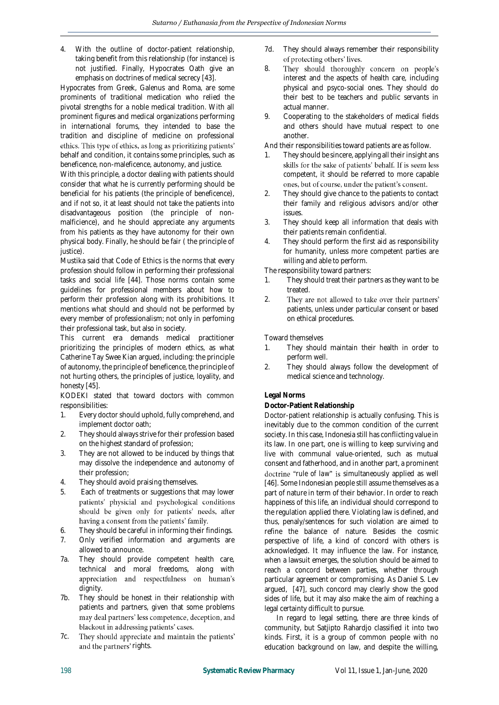4. With the outline of doctor-patient relationship, taking benefit from this relationship (for instance) is not justified. Finally, Hypocrates Oath give an emphasis on doctrines of medical secrecy [43].

Hypocrates from Greek, Galenus and Roma, are some prominents of traditional medication who relied the pivotal strengths for a noble medical tradition. With all prominent figures and medical organizations performing in international forums, they intended to base the tradition and discipline of medicine on professional ethics. This type of ethics, as long as prioritizing patients' behalf and condition, it contains some principles, such as beneficence, non-maleficence, autonomy, and justice.

With this principle, a doctor dealing with patients should consider that what he is currently performing should be beneficial for his patients (the principle of beneficence), and if not so, it at least should not take the patients into disadvantageous position (the principle of nonmalficience), and he should appreciate any arguments from his patients as they have autonomy for their own physical body. Finally, he should be fair ( the principle of justice).

Mustika said that Code of Ethics is the norms that every profession should follow in performing their professional tasks and social life [44]. Those norms contain some guidelines for professional members about how to perform their profession along with its prohibitions. It mentions what should and should not be performed by every member of professionalism; not only in perfoming their professional task, but also in society.

This current era demands medical practitioner prioritizing the principles of modern ethics, as what Catherine Tay Swee Kian argued, including: the principle of autonomy, the principle of beneficence, the principle of not hurting others, the principles of justice, loyality, and honesty [45].

KODEKI stated that toward doctors with common responsibilities:

- 1. Every doctor should uphold, fully comprehend, and implement doctor oath;
- 2. They should always strive for their profession based on the highest standard of profession;
- 3. They are not allowed to be induced by things that may dissolve the independence and autonomy of their profession;
- 4. They should avoid praising themselves.
- 5. Each of treatments or suggestions that may lower patients' physicial and psychological conditions should be given only for patients' needs, after having a consent from the patients' family.
- 6. They should be careful in informing their findings.
- 7. Only verified information and arguments are allowed to announce.
- 7a. They should provide competent health care, technical and moral freedoms, along with appreciation and respectfulness on human's dignity.
- 7b. They should be honest in their relationship with patients and partners, given that some problems may deal partners' less competence, deception, and blackout in addressing patients' cases.
- 7c. They should appreciate and maintain the patients' and the partners' rights.
- 7d. They should always remember their responsibility<br>of protecting others' lives.
- 8. They should thoroughly concern on people's interest and the aspects of health care, including physical and psyco-social ones. They should do their best to be teachers and public servants in actual manner.
- 9. Cooperating to the stakeholders of medical fields and others should have mutual respect to one another.
- And their responsibilities toward patients are as follow.
- 1. They should be sincere, applying all their insight ans skills for the sake of patients' behalf. If is seem less competent, it should be referred to more capable ones, but of course, under the patient's consent.
- 2. They should give chance to the patients to contact their family and religious advisors and/or other issues.
- 3. They should keep all information that deals with their patients remain confidential.
- 4. They should perform the first aid as responsibility for humanity, unless more competent parties are willing and able to perform.

The responsibility toward partners:

- 1. They should treat their partners as they want to be treated.
- 2. They are not allowed to take over their partners' patients, unless under particular consent or based on ethical procedures.

Toward themselves

- 1. They should maintain their health in order to perform well.
- 2. They should always follow the development of medical science and technology.

## **Legal Norms**

## **Doctor-Patient Relationship**

Doctor-patient relationship is actually confusing. This is inevitably due to the common condition of the current society. In this case, Indonesia still has conflicting value in its law. In one part, one is willing to keep surviving and live with communal value-oriented, such as mutual consent and fatherhood, and in another part, a prominent *doctrine "rule of law"* is simultaneously applied as well [46]. Some Indonesian people still assume themselves as a part of nature in term of their behavior. In order to reach happiness of this life, an individual should correspond to the regulation applied there. Violating law is defined, and thus, penaly/sentences for such violation are aimed to refine the balance of nature. Besides the cosmic perspective of life, a kind of concord with others is acknowledged. It may influence the law. For instance, when a lawsuit emerges, the solution should be aimed to reach a concord between parties, whether through particular agreement or compromising. As Daniel S. Lev argued, [47], such concord may clearly show the good sides of life, but it may also make the aim of reaching a legal certainty difficult to pursue.

In regard to legal setting, there are three kinds of community, but Satjipto Rahardjo classified it into two kinds. First, it is a group of common people with no education background on law, and despite the willing,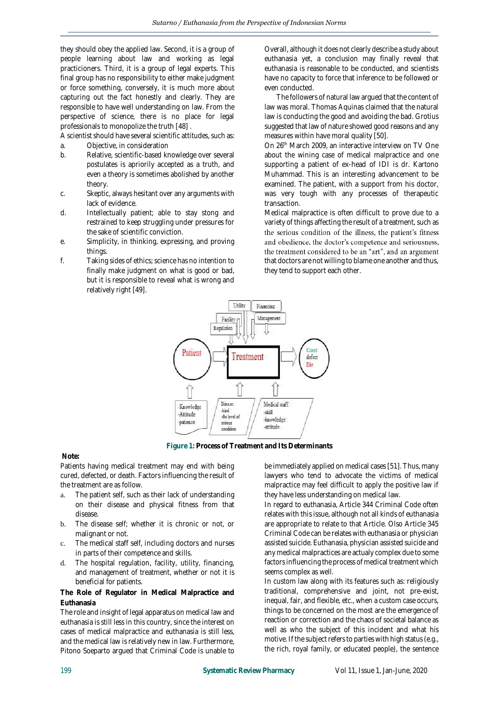they should obey the applied law. Second, it is a group of people learning about law and working as legal practicioners. Third, it is a group of legal experts. This final group has no responsibility to either make judgment or force something, conversely, it is much more about capturing out the fact honestly and clearly. They are responsible to have well understanding on law. From the perspective of science, there is no place for legal professionals to monopolize the truth [48] .

A scientist should have several scientific attitudes, such as:

- a. Objective, in consideration<br>b. Relative, scientific-based kn
- Relative, scientific-based knowledge over several postulates is apriorily accepted as a truth, and even a theory is sometimes abolished by another theory.
- c. Skeptic, always hesitant over any arguments with lack of evidence.
- d. Intellectually patient; able to stay stong and restrained to keep struggling under pressures for the sake of scientific conviction.
- e. Simplicity, in thinking, expressing, and proving things.
- f. Taking sides of ethics; science has no intention to finally make judgment on what is good or bad, but it is responsible to reveal what is wrong and relatively right [49].

Overall, although it does not clearly describe a study about euthanasia yet, a conclusion may finally reveal that euthanasia is reasonable to be conducted, and scientists have no capacity to force that inference to be followed or even conducted.

The followers of natural law argued that the content of law was moral. Thomas Aquinas claimed that the natural law is conducting the good and avoiding the bad. Grotius suggested that law of nature showed good reasons and any measures within have moral quality [50].

On 26<sup>th</sup> March 2009, an interactive interview on TV One about the wining case of medical malpractice and one supporting a patient of ex-head of IDI is dr. Kartono Muhammad. This is an interesting advancement to be examined. The patient, with a support from his doctor, was very tough with any processes of therapeutic transaction.

Medical malpractice is often difficult to prove due to a variety of things affecting the result of a treatment, such as the serious condition of the illness, the patient's fitness and obedience, the doctor's competence and seriousness, the treatment considered to be an "art", and an argument that doctors are not willing to blame one another and thus, they tend to support each other.



**Figure 1: Process of Treatment and Its Determinants**

## **Note:**

Patients having medical treatment may end with being cured, defected, or death. Factors influencing the result of the treatment are as follow.

- a. The patient self, such as their lack of understanding on their disease and physical fitness from that disease.
- b. The disease self; whether it is chronic or not, or malignant or not.
- c. The medical staff self, including doctors and nurses in parts of their competence and skills.
- d. The hospital regulation, facility, utility, financing, and management of treatment, whether or not it is beneficial for patients.

**The Role of Regulator in Medical Malpractice and Euthanasia**

The role and insight of legal apparatus on medical law and euthanasia is still less in this country, since the interest on cases of medical malpractice and euthanasia is still less, and the medical law is relatively new in law. Furthermore, Pitono Soeparto argued that Criminal Code is unable to be immediately applied on medical cases [51]. Thus, many lawyers who tend to advocate the victims of medical malpractice may feel difficult to apply the positive law if they have less understanding on medical law.

In regard to euthanasia, Article 344 Criminal Code often relates with this issue, although not all kinds of euthanasia are appropriate to relate to that Article. Olso Article 345 Criminal Code can be relates with euthanasia or physician assisted suicide. Euthanasia, physician assisted suicide and any medical malpractices are actualy complex due to some factors influencing the process of medical treatment which seems complex as well.

In custom law along with its features such as: religiously traditional, comprehensive and joint, not pre-exist, inequal, fair, and flexible, etc., when a custom case occurs, things to be concerned on the most are the emergence of reaction or correction and the chaos of societal balance as well as who the subject of this incident and what his motive. If the subject refers to parties with high status (e.g., the rich, royal family, or educated people), the sentence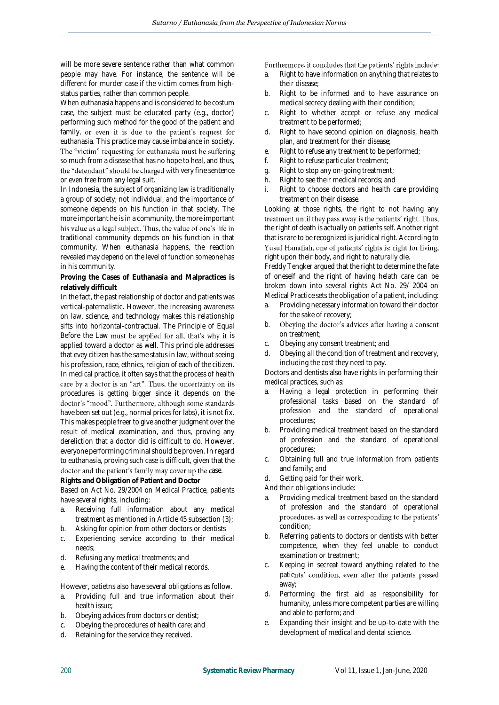will be more severe sentence rather than what common people may have. For instance, the sentence will be different for murder case if the victim comes from highstatus parties, rather than common people.

When euthanasia happens and is considered to be costum case, the subject must be educated party (e.g., doctor) performing such method for the good of the patient and family, or even it is due to the patient's request for euthanasia. This practice may cause imbalance in society. The "victim" requesting for euthanasia must be suffering so much from a disease that has no hope to heal, and thus, the "defendant" should be charged with very fine sentence or even free from any legal suit.

In Indonesia, the subject of organizing law is traditionally a group of society; not individual, and the importance of someone depends on his function in that society. The more important he is in a community, the more important his value as a legal subject. Thus, the value of one's life in traditional community depends on his function in that community. When euthanasia happens, the reaction revealed may depend on the level of function someone has in his community.

**Proving the Cases of Euthanasia and Malpractices is relatively difficult**

In the fact, the past relationship of doctor and patients was vertical-paternalistic. However, the increasing awareness on law, science, and technology makes this relationship sifts into horizontal-contractual. The Principle of Equal Before the Law must be applied for all, that's why it is applied toward a doctor as well. This principle addresses that evey citizen has the same status in law, without seeing his profession, race, ethnics, religion of each of the citizen. In medical practice, it often says that the process of health care by a doctor is an "art". Thus, the uncertainty on its procedures is getting bigger since it depends on the doctor's "mood". Furthermore, although some standards have been set out (e.g., normal prices for labs), it is not fix. This makes people freer to give another judgment over the result of medical examination, and thus, proving any dereliction that a doctor did is difficult to do. However, everyone performing criminal should be proven. In regard to euthanasia, proving such case is difficult, given that the doctor and the patient's family may cover up the case.

#### **Rights and Obligation of Patient and Doctor**

Based on Act No. 29/2004 on Medical Practice, patients have several rights, including:

- a. Receiving full information about any medical treatment as mentioned in Article 45 subsection (3);
- b. Asking for opinion from other doctors or dentists
- c. Experiencing service according to their medical needs;
- d. Refusing any medical treatments; and
- e. Having the content of their medical records.

However, patietns also have several obligations as follow.

- a. Providing full and true information about their health issue;
- b. Obeying advices from doctors or dentist;
- c. Obeying the procedures of health care; and
- d. Retaining for the service they received.

#### Furthermore, it concludes that the patients' rights include:

- a. Right to have information on anything that relates to their disease;
- b. Right to be informed and to have assurance on medical secrecy dealing with their condition;
- c. Right to whether accept or refuse any medical treatment to be performed;
- d. Right to have second opinion on diagnosis, health plan, and treatment for their disease;
- e. Right to refuse any treatment to be performed;<br>f Right to refuse particular treatment:
- Right to refuse particular treatment;
- g. Right to stop any on-going treatment;
- h. Right to see their medical records; and
- i. Right to choose doctors and health care providing treatment on their disease.

Looking at those rights, the right to not having any treatment until they pass away is the patients' right. Thus, the right of death is actually on patients self. Another right that is rare to be recognized is juridical right. According to Yusuf Hanafiah, one of patients' rights is: right for living, right upon their body, and right to naturally die.

Freddy Tengker argued that the right to determine the fate of oneself and the right of having helath care can be broken down into several rights Act No. 29/ 2004 on Medical Practice sets the obligation of a patient, including:

- a. Providing necessary information toward their doctor for the sake of recovery;
- b. Obeying the doctor's advices after having a consent on treatment;
- c. Obeying any consent treatment; and
- d. Obeying all the condition of treatment and recovery, including the cost they need to pay.

Doctors and dentists also have rights in performing their medical practices, such as:

- a. Having a legal protection in performing their professional tasks based on the standard of profession and the standard of operational procedures;
- b. Providing medical treatment based on the standard of profession and the standard of operational procedures;
- c. Obtaining full and true information from patients and family; and
- d. Getting paid for their work.

And their obligations include:

- Providing medical treatment based on the standard of profession and the standard of operational procedures, as well as corresponding to the patients' condition;
- b. Referring patients to doctors or dentists with better competence, when they feel unable to conduct examination or treatment;
- c. Keeping in secreat toward anything related to the patients' condition, even after the patients passed away;
- d. Performing the first aid as responsibility for humanity, unless more competent parties are willing and able to perform; and
- e. Expanding their insight and be up-to-date with the development of medical and dental science.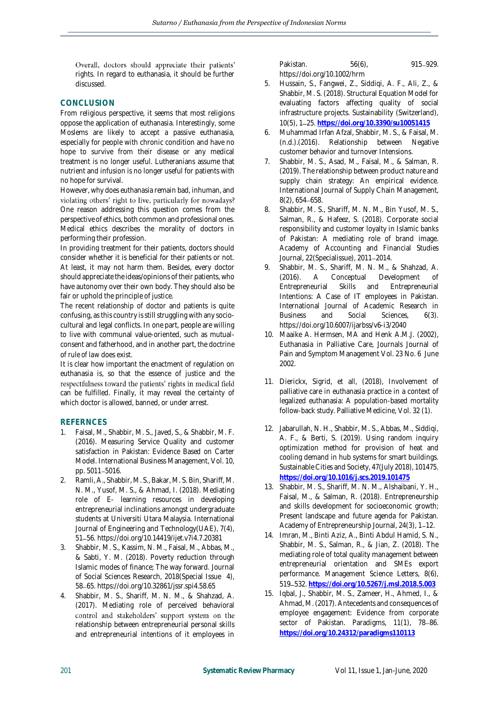Overall, doctors should appreciate their patients' rights. In regard to euthanasia, it should be further discussed.

# **CONCLUSION**

From religious perspective, it seems that most religions oppose the application of euthanasia. Interestingly, some Moslems are likely to accept a passive euthanasia, especially for people with chronic condition and have no hope to survive from their disease or any medical treatment is no longer useful. Lutheranians assume that nutrient and infusion is no longer useful for patients with no hope for survival.

However, why does euthanasia remain bad, inhuman, and violating others' right to live, particularly for nowadays? One reason addressing this question comes from the perspective of ethics, both common and professional ones. Medical ethics describes the morality of doctors in performing their profession.

In providing treatment for their patients, doctors should consider whether it is beneficial for their patients or not. At least, it may not harm them. Besides, every doctor should appreciate the ideas/opinions of their patients, who have autonomy over their own body. They should also be fair or uphold the principle of justice.

The recent relationship of doctor and patients is quite confusing, as this country is still struggling with any sociocultural and legal conflicts. In one part, people are willing to live with communal value-oriented, such as mutualconsent and fatherhood, and in another part, the doctrine of *rule of law* does exist.

It is clear how important the enactment of regulation on euthanasia is, so that the essence of justice and the respectfulness toward the patients' rights in medical field can be fulfilled. Finally, it may reveal the certainty of which doctor is allowed, banned, or under arrest.

## **REFERNCES**

- 1. Faisal, M., Shabbir, M. S., Javed, S., & Shabbir, M. F. (2016). Measuring Service Quality and customer satisfaction in Pakistan: Evidence Based on Carter Model. International Business Management, Vol. 10, pp. 5011-5016.
- 2. Ramli, A., Shabbir, M. S., Bakar, M. S. Bin, Shariff, M. N. M., Yusof, M. S., & Ahmad, I. (2018). Mediating role of E- learning resources in developing entrepreneurial inclinations amongst undergraduate students at Universiti Utara Malaysia. International Journal of Engineering and Technology(UAE), 7(4), 51 56. https://doi.org/10.14419/ijet.v7i4.7.20381
- 3. Shabbir, M. S., Kassim, N. M., Faisal, M., Abbas, M., & Sabti, Y. M. (2018). Poverty reduction through Islamic modes of finance; The way forward. Journal of Social Sciences Research, 2018(Special Issue 4), 58 65. https://doi.org/10.32861/jssr.spi4.58.65
- 4. Shabbir, M. S., Shariff, M. N. M., & Shahzad, A. (2017). Mediating role of perceived behavioral control and stakeholders' support system on the relationship between entrepreneurial personal skills and entrepreneurial intentions of it employees in

Pakistan. 56(6), 915-929. https://doi.org/10.1002/hrm

- 5. Hussain, S., Fangwei, Z., Siddiqi, A. F., Ali, Z., & Shabbir, M. S. (2018). Structural Equation Model for evaluating factors affecting quality of social infrastructure projects. Sustainability (Switzerland), 10(5), 1 25. **<https://doi.org/10.3390/su10051415>**
- 6. Muhammad Irfan Afzal, Shabbir, M. S., & Faisal, M. (n.d.).(2016). Relationship between Negative customer behavior and turnover Intensions.
- 7. Shabbir, M. S., Asad, M., Faisal, M., & Salman, R. (2019). The relationship between product nature and supply chain strategy: An empirical evidence. International Journal of Supply Chain Management, 8(2), 654-658.
- 8. Shabbir, M. S., Shariff, M. N. M., Bin Yusof, M. S., Salman, R., & Hafeez, S. (2018). Corporate social responsibility and customer loyalty in Islamic banks of Pakistan: A mediating role of brand image. Academy of Accounting and Financial Studies Journal, 22(Specialissue), 2011 2014.
- 9. Shabbir, M. S., Shariff, M. N. M., & Shahzad, A. (2016). A Conceptual Development of Entrepreneurial Skills and Entrepreneurial Intentions: A Case of IT employees in Pakistan. International Journal of Academic Research in Business and Social Sciences, 6(3). https://doi.org/10.6007/ijarbss/v6-i3/2040
- 10. Maaike A. Hermsen, MA and Henk A.M.J. (2002), Euthanasia in Palliative Care, Journals Journal of Pain and Symptom Management Vol. 23 No. 6 June 2002.
- 11. Dierickx, Sigrid, et all, (2018), Involvement of palliative care in euthanasia practice in a context of legalized euthanasia: A population-based mortality follow-back study. Palliative Medicine, Vol. 32 (1).
- 12. Jabarullah, N. H., Shabbir, M. S., Abbas, M., Siddiqi, A. F., & Berti, S. (2019). Using random inquiry optimization method for provision of heat and cooling demand in hub systems for smart buildings. Sustainable Cities and Society, 47(July 2018), 101475. **<https://doi.org/10.1016/j.scs.2019.101475>**
- 13. Shabbir, M. S., Shariff, M. N. M., Alshaibani, Y. H., Faisal, M., & Salman, R. (2018). Entrepreneurship and skills development for socioeconomic growth; Present landscape and future agenda for Pakistan. Academy of Entrepreneurship Journal, 24(3), 1-12.
- 14. Imran, M., Binti Aziz, A., Binti Abdul Hamid, S. N., Shabbir, M. S., Salman, R., & Jian, Z. (2018). The mediating role of total quality management between entrepreneurial orientation and SMEs export performance. Management Science Letters, 8(6), 519 532. **<https://doi.org/10.5267/j.msl.2018.5.003>**
- 15. Iqbal, J., Shabbir, M. S., Zameer, H., Ahmed, I., & Ahmad, M. (2017). Antecedents and consequences of employee engagement: Evidence from corporate sector of Pakistan. Paradigms, 11(1), 78-86. **<https://doi.org/10.24312/paradigms110113>**